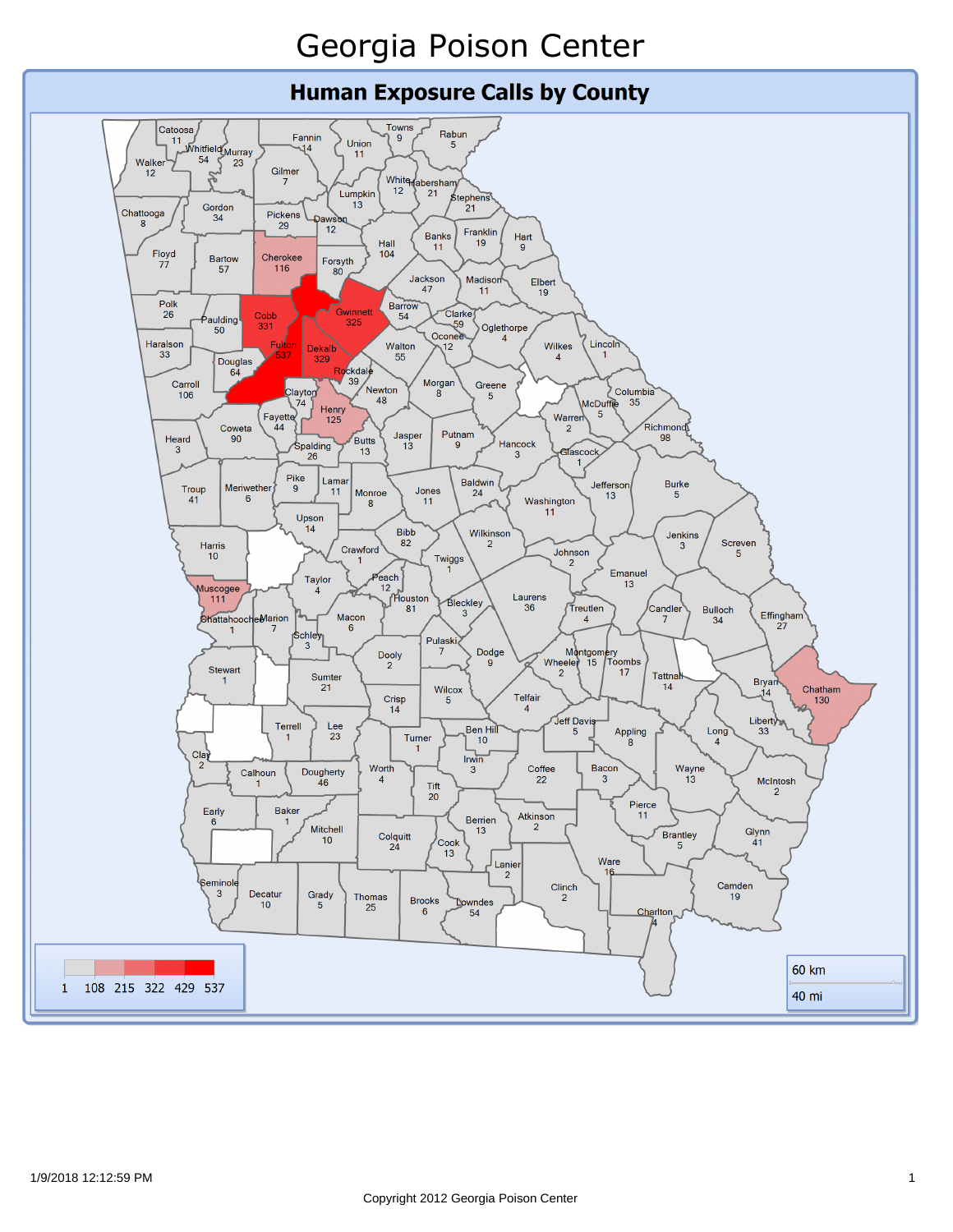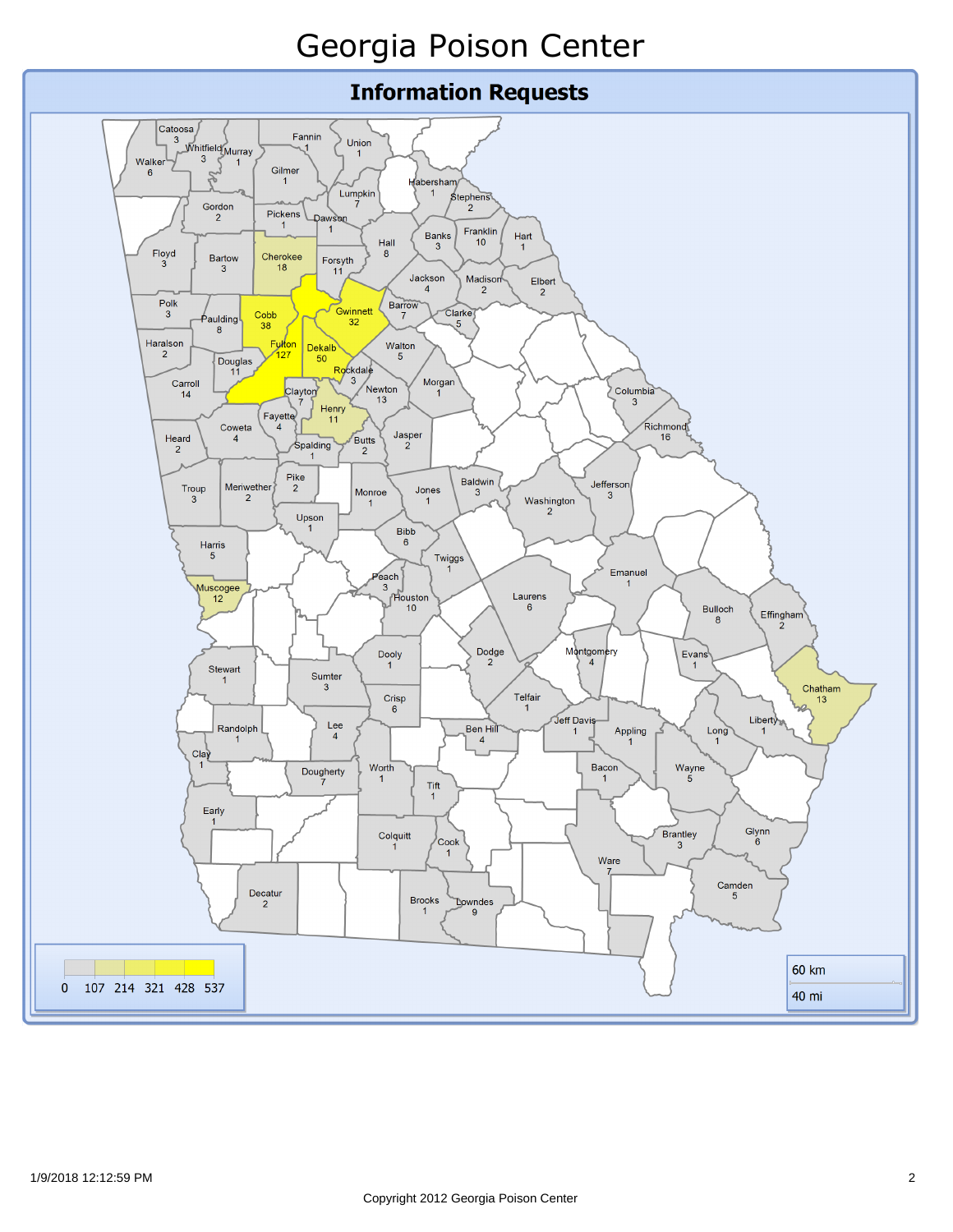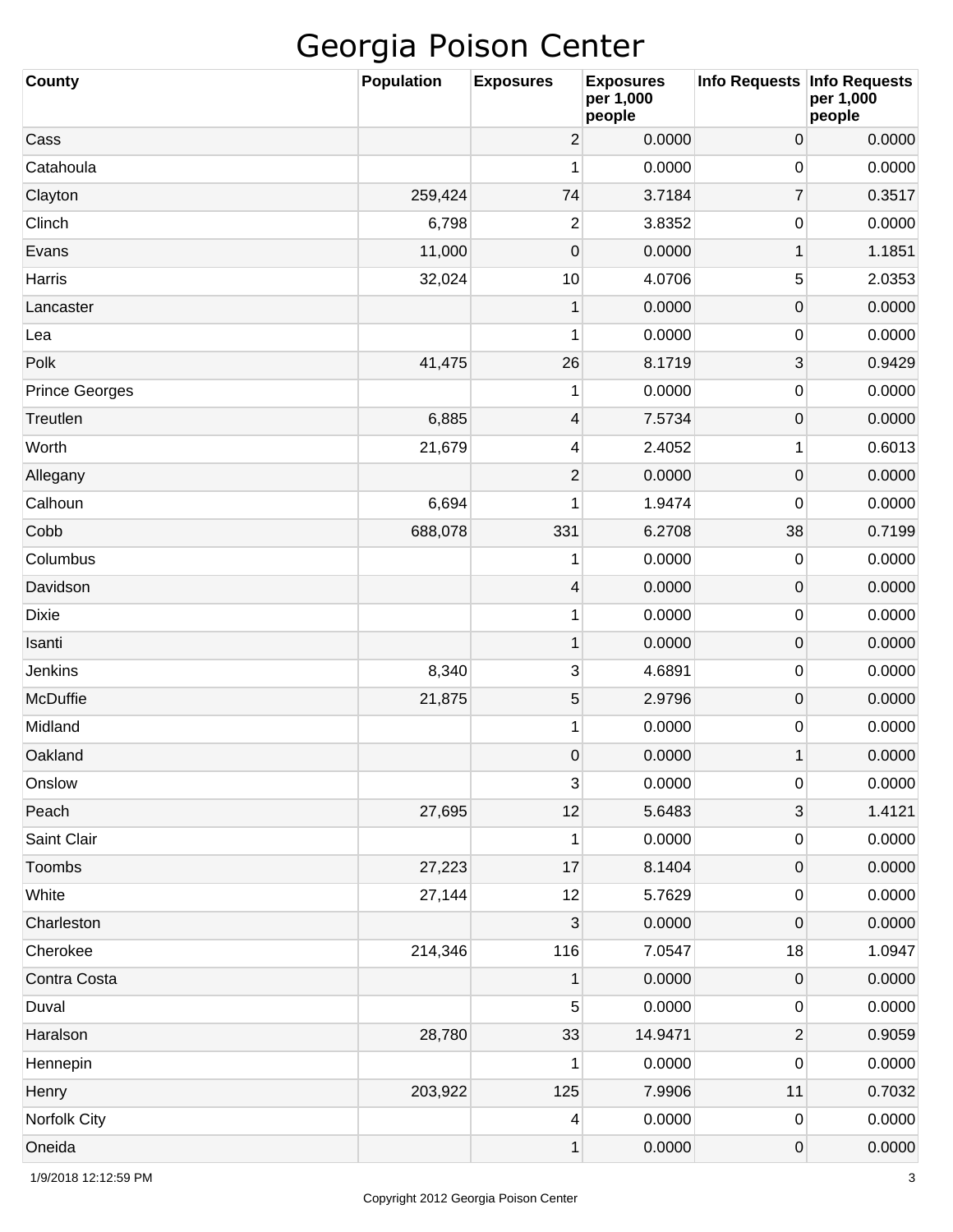| <b>County</b>         | <b>Population</b> | <b>Exposures</b> | <b>Exposures</b><br>per 1,000<br>people | Info Requests   Info Requests | per 1,000<br>people |
|-----------------------|-------------------|------------------|-----------------------------------------|-------------------------------|---------------------|
| Cass                  |                   | $\overline{2}$   | 0.0000                                  | $\boldsymbol{0}$              | 0.0000              |
| Catahoula             |                   | 1                | 0.0000                                  | 0                             | 0.0000              |
| Clayton               | 259,424           | 74               | 3.7184                                  | $\overline{7}$                | 0.3517              |
| Clinch                | 6,798             | $\mathbf{2}$     | 3.8352                                  | 0                             | 0.0000              |
| Evans                 | 11,000            | $\mathbf 0$      | 0.0000                                  | 1                             | 1.1851              |
| Harris                | 32,024            | 10               | 4.0706                                  | 5                             | 2.0353              |
| Lancaster             |                   | $\mathbf 1$      | 0.0000                                  | $\mathsf{O}\xspace$           | 0.0000              |
| Lea                   |                   | 1                | 0.0000                                  | 0                             | 0.0000              |
| Polk                  | 41,475            | 26               | 8.1719                                  | 3                             | 0.9429              |
| <b>Prince Georges</b> |                   | 1                | 0.0000                                  | 0                             | 0.0000              |
| Treutlen              | 6,885             | 4                | 7.5734                                  | $\mathsf{O}\xspace$           | 0.0000              |
| Worth                 | 21,679            | 4                | 2.4052                                  | 1                             | 0.6013              |
| Allegany              |                   | $\overline{2}$   | 0.0000                                  | $\mathsf{O}\xspace$           | 0.0000              |
| Calhoun               | 6,694             | 1                | 1.9474                                  | 0                             | 0.0000              |
| Cobb                  | 688,078           | 331              | 6.2708                                  | 38                            | 0.7199              |
| Columbus              |                   | 1                | 0.0000                                  | 0                             | 0.0000              |
| Davidson              |                   | 4                | 0.0000                                  | $\mathsf{O}\xspace$           | 0.0000              |
| <b>Dixie</b>          |                   | 1                | 0.0000                                  | 0                             | 0.0000              |
| Isanti                |                   | $\mathbf{1}$     | 0.0000                                  | $\mathsf{O}\xspace$           | 0.0000              |
| Jenkins               | 8,340             | 3                | 4.6891                                  | 0                             | 0.0000              |
| <b>McDuffie</b>       | 21,875            | 5                | 2.9796                                  | $\mathsf{O}\xspace$           | 0.0000              |
| Midland               |                   | 1                | 0.0000                                  | 0                             | 0.0000              |
| Oakland               |                   | 0                | 0.0000                                  | 1                             | 0.0000              |
| Onslow                |                   | 3                | 0.0000                                  | 0                             | 0.0000              |
| Peach                 | 27,695            | 12               | 5.6483                                  | 3                             | 1.4121              |
| Saint Clair           |                   | 1                | 0.0000                                  | 0                             | 0.0000              |
| Toombs                | 27,223            | 17               | 8.1404                                  | $\mathsf{O}\xspace$           | 0.0000              |
| White                 | 27,144            | 12               | 5.7629                                  | 0                             | 0.0000              |
| Charleston            |                   | 3                | 0.0000                                  | $\mathsf{O}\xspace$           | 0.0000              |
| Cherokee              | 214,346           | 116              | 7.0547                                  | 18                            | 1.0947              |
| Contra Costa          |                   | 1                | 0.0000                                  | $\mathsf{O}\xspace$           | 0.0000              |
| Duval                 |                   | 5                | 0.0000                                  | 0                             | 0.0000              |
| Haralson              | 28,780            | 33               | 14.9471                                 | $\overline{c}$                | 0.9059              |
| Hennepin              |                   | 1                | 0.0000                                  | 0                             | 0.0000              |
| Henry                 | 203,922           | 125              | 7.9906                                  | 11                            | 0.7032              |
| Norfolk City          |                   | 4                | 0.0000                                  | 0                             | 0.0000              |
| Oneida                |                   | 1                | 0.0000                                  | 0                             | 0.0000              |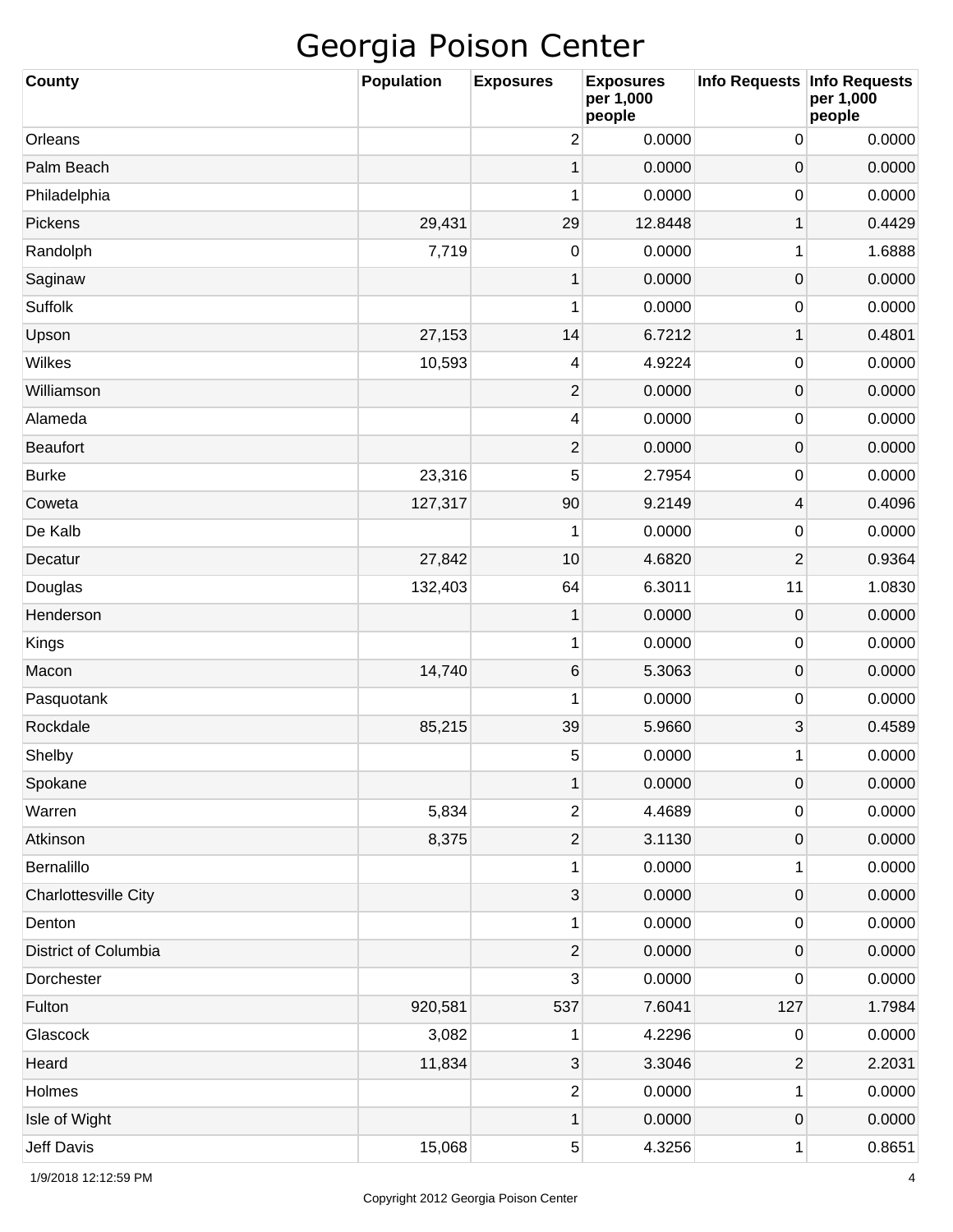| <b>County</b>               | <b>Population</b> | <b>Exposures</b>        | <b>Exposures</b><br>per 1,000<br>people | Info Requests Info Requests | per 1,000<br>people |
|-----------------------------|-------------------|-------------------------|-----------------------------------------|-----------------------------|---------------------|
| Orleans                     |                   | $\overline{2}$          | 0.0000                                  | 0                           | 0.0000              |
| Palm Beach                  |                   | 1                       | 0.0000                                  | 0                           | 0.0000              |
| Philadelphia                |                   | 1                       | 0.0000                                  | 0                           | 0.0000              |
| Pickens                     | 29,431            | 29                      | 12.8448                                 | 1                           | 0.4429              |
| Randolph                    | 7,719             | 0                       | 0.0000                                  | 1                           | 1.6888              |
| Saginaw                     |                   | 1                       | 0.0000                                  | $\mathsf{O}\xspace$         | 0.0000              |
| Suffolk                     |                   | 1                       | 0.0000                                  | 0                           | 0.0000              |
| Upson                       | 27,153            | 14                      | 6.7212                                  | 1                           | 0.4801              |
| Wilkes                      | 10,593            | 4                       | 4.9224                                  | 0                           | 0.0000              |
| Williamson                  |                   | $\mathbf{2}$            | 0.0000                                  | 0                           | 0.0000              |
| Alameda                     |                   | 4                       | 0.0000                                  | 0                           | 0.0000              |
| <b>Beaufort</b>             |                   | $\overline{2}$          | 0.0000                                  | 0                           | 0.0000              |
| <b>Burke</b>                | 23,316            | 5                       | 2.7954                                  | 0                           | 0.0000              |
| Coweta                      | 127,317           | 90                      | 9.2149                                  | 4                           | 0.4096              |
| De Kalb                     |                   | 1                       | 0.0000                                  | 0                           | 0.0000              |
| Decatur                     | 27,842            | 10                      | 4.6820                                  | $\overline{2}$              | 0.9364              |
| Douglas                     | 132,403           | 64                      | 6.3011                                  | 11                          | 1.0830              |
| Henderson                   |                   | 1                       | 0.0000                                  | $\mathbf 0$                 | 0.0000              |
| Kings                       |                   | 1                       | 0.0000                                  | 0                           | 0.0000              |
| Macon                       | 14,740            | 6                       | 5.3063                                  | 0                           | 0.0000              |
| Pasquotank                  |                   | 1                       | 0.0000                                  | 0                           | 0.0000              |
| Rockdale                    | 85,215            | 39                      | 5.9660                                  | 3                           | 0.4589              |
| Shelby                      |                   | 5                       | 0.0000                                  | 1                           | 0.0000              |
| Spokane                     |                   | 1                       | 0.0000                                  | 0                           | 0.0000              |
| Warren                      | 5,834             | $\overline{\mathbf{c}}$ | 4.4689                                  | 0                           | 0.0000              |
| Atkinson                    | 8,375             | $\overline{c}$          | 3.1130                                  | 0                           | 0.0000              |
| Bernalillo                  |                   | 1                       | 0.0000                                  | 1                           | 0.0000              |
| <b>Charlottesville City</b> |                   | 3                       | 0.0000                                  | 0                           | 0.0000              |
| Denton                      |                   | 1                       | 0.0000                                  | 0                           | 0.0000              |
| District of Columbia        |                   | $\mathbf{2}$            | 0.0000                                  | 0                           | 0.0000              |
| Dorchester                  |                   | 3                       | 0.0000                                  | 0                           | 0.0000              |
| Fulton                      | 920,581           | 537                     | 7.6041                                  | 127                         | 1.7984              |
| Glascock                    | 3,082             | 1                       | 4.2296                                  | 0                           | 0.0000              |
| Heard                       | 11,834            | 3                       | 3.3046                                  | $\mathbf{2}$                | 2.2031              |
| Holmes                      |                   | $\overline{\mathbf{c}}$ | 0.0000                                  | 1                           | 0.0000              |
| Isle of Wight               |                   | 1                       | 0.0000                                  | 0                           | 0.0000              |
| Jeff Davis                  | 15,068            | $\sqrt{5}$              | 4.3256                                  | 1                           | 0.8651              |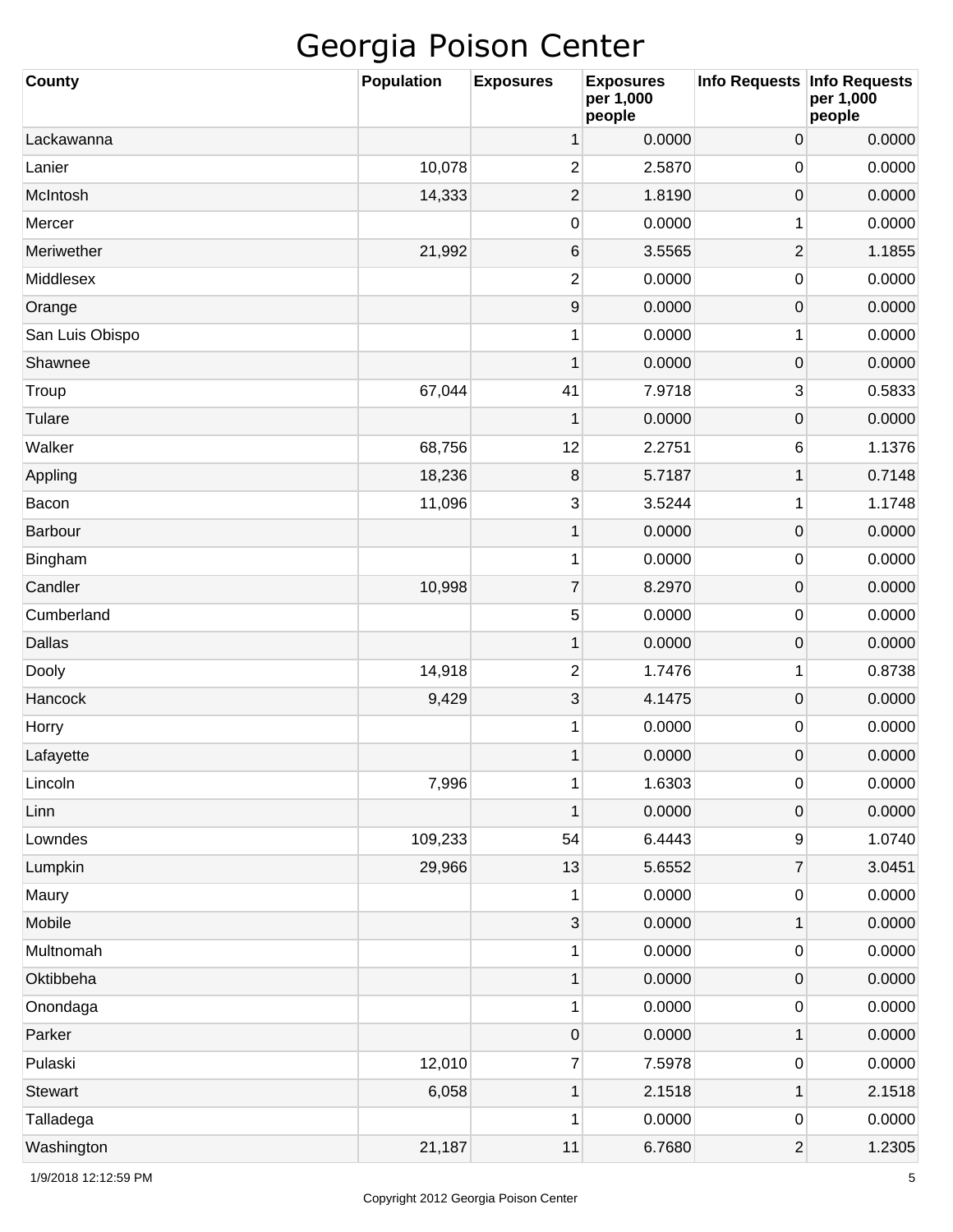| County          | <b>Population</b> | <b>Exposures</b> | <b>Exposures</b><br>per 1,000<br>people | Info Requests Info Requests | per 1,000<br>people |
|-----------------|-------------------|------------------|-----------------------------------------|-----------------------------|---------------------|
| Lackawanna      |                   | 1                | 0.0000                                  | $\mathbf 0$                 | 0.0000              |
| Lanier          | 10,078            | 2                | 2.5870                                  | $\mathbf 0$                 | 0.0000              |
| McIntosh        | 14,333            | 2                | 1.8190                                  | $\mathbf 0$                 | 0.0000              |
| Mercer          |                   | 0                | 0.0000                                  | 1                           | 0.0000              |
| Meriwether      | 21,992            | 6                | 3.5565                                  | $\overline{2}$              | 1.1855              |
| Middlesex       |                   | 2                | 0.0000                                  | 0                           | 0.0000              |
| Orange          |                   | 9                | 0.0000                                  | $\pmb{0}$                   | 0.0000              |
| San Luis Obispo |                   | 1                | 0.0000                                  | 1                           | 0.0000              |
| Shawnee         |                   | $\mathbf 1$      | 0.0000                                  | $\mathbf 0$                 | 0.0000              |
| Troup           | 67,044            | 41               | 7.9718                                  | 3                           | 0.5833              |
| Tulare          |                   | 1                | 0.0000                                  | $\mathbf 0$                 | 0.0000              |
| Walker          | 68,756            | 12               | 2.2751                                  | 6                           | 1.1376              |
| Appling         | 18,236            | 8                | 5.7187                                  | 1                           | 0.7148              |
| Bacon           | 11,096            | 3                | 3.5244                                  | 1                           | 1.1748              |
| Barbour         |                   | $\mathbf{1}$     | 0.0000                                  | $\mathbf 0$                 | 0.0000              |
| Bingham         |                   | 1                | 0.0000                                  | $\mathbf 0$                 | 0.0000              |
| Candler         | 10,998            | 7                | 8.2970                                  | $\pmb{0}$                   | 0.0000              |
| Cumberland      |                   | 5                | 0.0000                                  | $\mathbf 0$                 | 0.0000              |
| <b>Dallas</b>   |                   | $\mathbf 1$      | 0.0000                                  | $\pmb{0}$                   | 0.0000              |
| Dooly           | 14,918            | 2                | 1.7476                                  | 1                           | 0.8738              |
| Hancock         | 9,429             | 3                | 4.1475                                  | $\pmb{0}$                   | 0.0000              |
| Horry           |                   | 1                | 0.0000                                  | 0                           | 0.0000              |
| Lafayette       |                   | $\mathbf 1$      | 0.0000                                  | $\mathbf 0$                 | 0.0000              |
| Lincoln         | 7,996             | 1                | 1.6303                                  | $\pmb{0}$                   | 0.0000              |
| Linn            |                   | $\mathbf 1$      | 0.0000                                  | $\pmb{0}$                   | 0.0000              |
| Lowndes         | 109,233           | 54               | 6.4443                                  | 9                           | 1.0740              |
| Lumpkin         | 29,966            | 13               | 5.6552                                  | $\overline{7}$              | 3.0451              |
| Maury           |                   | 1                | 0.0000                                  | $\pmb{0}$                   | 0.0000              |
| Mobile          |                   | 3                | 0.0000                                  | 1                           | 0.0000              |
| Multnomah       |                   | 1                | 0.0000                                  | $\pmb{0}$                   | 0.0000              |
| Oktibbeha       |                   | $\mathbf 1$      | 0.0000                                  | $\pmb{0}$                   | 0.0000              |
| Onondaga        |                   | 1                | 0.0000                                  | $\pmb{0}$                   | 0.0000              |
| Parker          |                   | 0                | 0.0000                                  | 1                           | 0.0000              |
| Pulaski         | 12,010            | 7                | 7.5978                                  | $\pmb{0}$                   | 0.0000              |
| <b>Stewart</b>  | 6,058             | $\mathbf 1$      | 2.1518                                  | 1                           | 2.1518              |
| Talladega       |                   | 1                | 0.0000                                  | 0                           | 0.0000              |
| Washington      | 21,187            | 11               | 6.7680                                  | $\overline{2}$              | 1.2305              |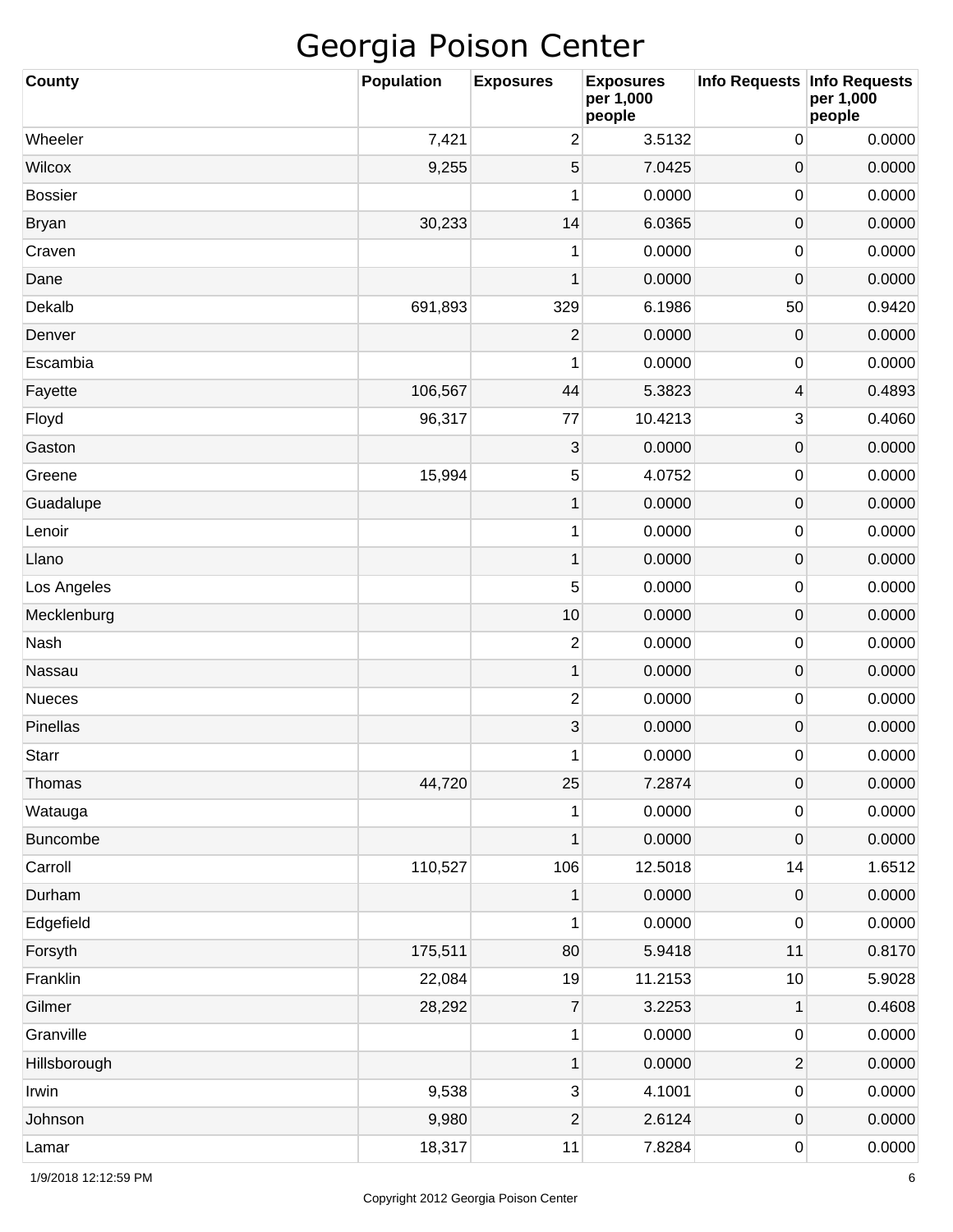| County         | <b>Population</b> | <b>Exposures</b> | <b>Exposures</b><br>per 1,000<br>people | <b>Info Requests</b> | <b>Info Requests</b><br>per 1,000<br>people |
|----------------|-------------------|------------------|-----------------------------------------|----------------------|---------------------------------------------|
| Wheeler        | 7,421             | $\overline{c}$   | 3.5132                                  | 0                    | 0.0000                                      |
| Wilcox         | 9,255             | 5                | 7.0425                                  | 0                    | 0.0000                                      |
| <b>Bossier</b> |                   | 1                | 0.0000                                  | 0                    | 0.0000                                      |
| <b>Bryan</b>   | 30,233            | 14               | 6.0365                                  | 0                    | 0.0000                                      |
| Craven         |                   | 1                | 0.0000                                  | 0                    | 0.0000                                      |
| Dane           |                   | 1                | 0.0000                                  | 0                    | 0.0000                                      |
| Dekalb         | 691,893           | 329              | 6.1986                                  | 50                   | 0.9420                                      |
| Denver         |                   | $\mathbf{2}$     | 0.0000                                  | 0                    | 0.0000                                      |
| Escambia       |                   | 1                | 0.0000                                  | 0                    | 0.0000                                      |
| Fayette        | 106,567           | 44               | 5.3823                                  | 4                    | 0.4893                                      |
| Floyd          | 96,317            | 77               | 10.4213                                 | 3                    | 0.4060                                      |
| Gaston         |                   | 3                | 0.0000                                  | 0                    | 0.0000                                      |
| Greene         | 15,994            | 5                | 4.0752                                  | 0                    | 0.0000                                      |
| Guadalupe      |                   | 1                | 0.0000                                  | 0                    | 0.0000                                      |
| Lenoir         |                   | 1                | 0.0000                                  | 0                    | 0.0000                                      |
| Llano          |                   | 1                | 0.0000                                  | 0                    | 0.0000                                      |
| Los Angeles    |                   | 5                | 0.0000                                  | 0                    | 0.0000                                      |
| Mecklenburg    |                   | 10               | 0.0000                                  | 0                    | 0.0000                                      |
| Nash           |                   | $\overline{2}$   | 0.0000                                  | 0                    | 0.0000                                      |
| Nassau         |                   | 1                | 0.0000                                  | 0                    | 0.0000                                      |
| Nueces         |                   | $\mathbf{2}$     | 0.0000                                  | 0                    | 0.0000                                      |
| Pinellas       |                   | 3                | 0.0000                                  | 0                    | 0.0000                                      |
| <b>Starr</b>   |                   | 1                | 0.0000                                  | 0                    | 0.0000                                      |
| Thomas         | 44,720            | 25               | 7.2874                                  | $\mathsf{O}\xspace$  | 0.0000                                      |
| Watauga        |                   | 1                | 0.0000                                  | 0                    | 0.0000                                      |
| Buncombe       |                   | 1                | 0.0000                                  | $\mathbf 0$          | 0.0000                                      |
| Carroll        | 110,527           | 106              | 12.5018                                 | 14                   | 1.6512                                      |
| Durham         |                   | 1                | 0.0000                                  | $\mathsf{O}\xspace$  | 0.0000                                      |
| Edgefield      |                   | 1                | 0.0000                                  | 0                    | 0.0000                                      |
| Forsyth        | 175,511           | 80               | 5.9418                                  | 11                   | 0.8170                                      |
| Franklin       | 22,084            | 19               | 11.2153                                 | $10$                 | 5.9028                                      |
| Gilmer         | 28,292            | $\overline{7}$   | 3.2253                                  | 1                    | 0.4608                                      |
| Granville      |                   | 1                | 0.0000                                  | 0                    | 0.0000                                      |
| Hillsborough   |                   | $\mathbf 1$      | 0.0000                                  | $\mathbf{2}$         | 0.0000                                      |
| Irwin          | 9,538             | 3                | 4.1001                                  | 0                    | 0.0000                                      |
| Johnson        | 9,980             | $\overline{c}$   | 2.6124                                  | $\mathsf{O}\xspace$  | 0.0000                                      |
| Lamar          | 18,317            | 11               | 7.8284                                  | 0                    | 0.0000                                      |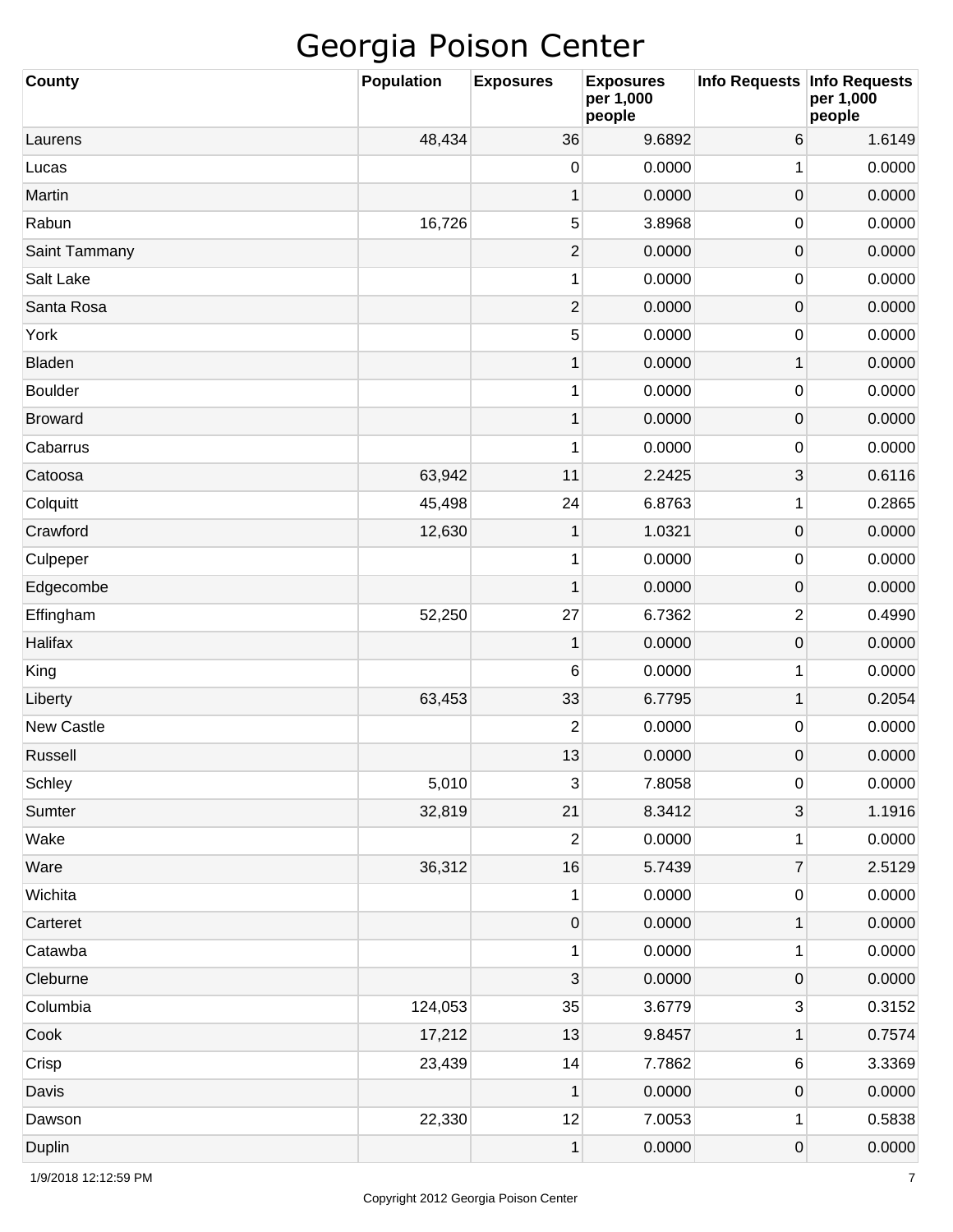| <b>County</b>  | <b>Population</b> | <b>Exposures</b> | <b>Exposures</b><br>per 1,000<br>people | Info Requests   Info Requests | per 1,000<br>people |
|----------------|-------------------|------------------|-----------------------------------------|-------------------------------|---------------------|
| Laurens        | 48,434            | 36               | 9.6892                                  | 6                             | 1.6149              |
| Lucas          |                   | 0                | 0.0000                                  | 1                             | 0.0000              |
| Martin         |                   | $\mathbf{1}$     | 0.0000                                  | $\pmb{0}$                     | 0.0000              |
| Rabun          | 16,726            | 5                | 3.8968                                  | 0                             | 0.0000              |
| Saint Tammany  |                   | $\overline{2}$   | 0.0000                                  | $\pmb{0}$                     | 0.0000              |
| Salt Lake      |                   | 1                | 0.0000                                  | 0                             | 0.0000              |
| Santa Rosa     |                   | $\mathbf{2}$     | 0.0000                                  | $\pmb{0}$                     | 0.0000              |
| York           |                   | 5                | 0.0000                                  | 0                             | 0.0000              |
| Bladen         |                   | $\mathbf{1}$     | 0.0000                                  | 1                             | 0.0000              |
| <b>Boulder</b> |                   | 1                | 0.0000                                  | 0                             | 0.0000              |
| <b>Broward</b> |                   | $\mathbf 1$      | 0.0000                                  | $\pmb{0}$                     | 0.0000              |
| Cabarrus       |                   | 1                | 0.0000                                  | 0                             | 0.0000              |
| Catoosa        | 63,942            | 11               | 2.2425                                  | 3                             | 0.6116              |
| Colquitt       | 45,498            | 24               | 6.8763                                  | 1                             | 0.2865              |
| Crawford       | 12,630            | $\mathbf{1}$     | 1.0321                                  | $\pmb{0}$                     | 0.0000              |
| Culpeper       |                   | 1                | 0.0000                                  | 0                             | 0.0000              |
| Edgecombe      |                   | $\mathbf 1$      | 0.0000                                  | $\pmb{0}$                     | 0.0000              |
| Effingham      | 52,250            | 27               | 6.7362                                  | $\overline{2}$                | 0.4990              |
| Halifax        |                   | $\mathbf 1$      | 0.0000                                  | $\pmb{0}$                     | 0.0000              |
| King           |                   | 6                | 0.0000                                  | 1                             | 0.0000              |
| Liberty        | 63,453            | 33               | 6.7795                                  | $\mathbf{1}$                  | 0.2054              |
| New Castle     |                   | 2                | 0.0000                                  | 0                             | 0.0000              |
| Russell        |                   | 13               | 0.0000                                  | $\mathbf 0$                   | 0.0000              |
| Schley         | 5,010             | 3                | 7.8058                                  | $\pmb{0}$                     | 0.0000              |
| Sumter         | 32,819            | 21               | 8.3412                                  | $\ensuremath{\mathsf{3}}$     | 1.1916              |
| Wake           |                   | 2                | 0.0000                                  | 1                             | 0.0000              |
| Ware           | 36,312            | 16               | 5.7439                                  | $\boldsymbol{7}$              | 2.5129              |
| Wichita        |                   | 1                | 0.0000                                  | $\pmb{0}$                     | 0.0000              |
| Carteret       |                   | 0                | 0.0000                                  | $\mathbf{1}$                  | 0.0000              |
| Catawba        |                   | 1                | 0.0000                                  | $\mathbf 1$                   | 0.0000              |
| Cleburne       |                   | 3                | 0.0000                                  | $\pmb{0}$                     | 0.0000              |
| Columbia       | 124,053           | 35               | 3.6779                                  | 3                             | 0.3152              |
| Cook           | 17,212            | 13               | 9.8457                                  | 1                             | 0.7574              |
| Crisp          | 23,439            | 14               | 7.7862                                  | 6                             | 3.3369              |
| Davis          |                   | 1                | 0.0000                                  | $\pmb{0}$                     | 0.0000              |
| Dawson         | 22,330            | 12               | 7.0053                                  | 1                             | 0.5838              |
| Duplin         |                   | $\mathbf{1}$     | 0.0000                                  | $\boldsymbol{0}$              | 0.0000              |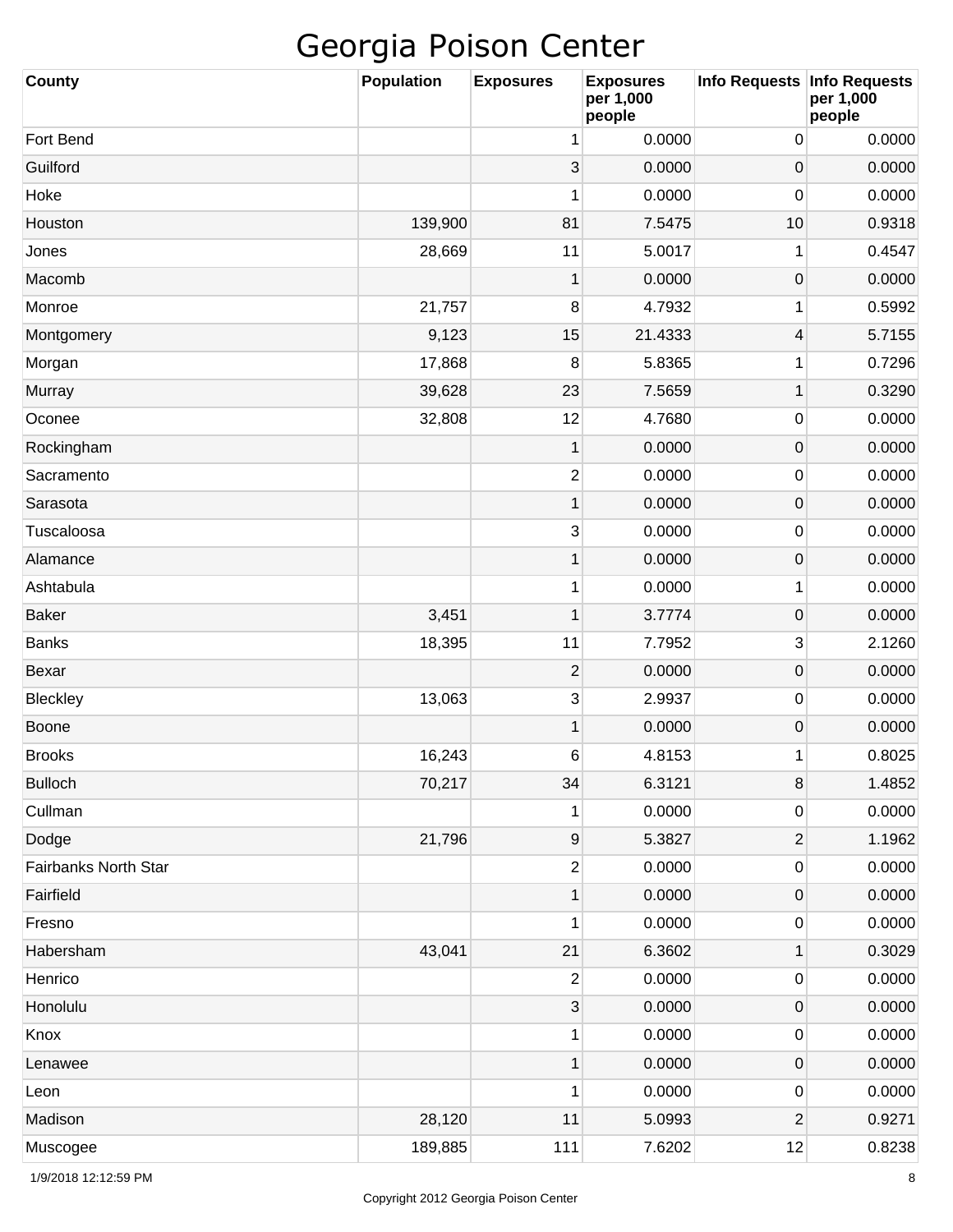| County               | <b>Population</b> | <b>Exposures</b> | <b>Exposures</b><br>per 1,000<br>people | Info Requests           | <b>Info Requests</b><br>per 1,000<br>people |
|----------------------|-------------------|------------------|-----------------------------------------|-------------------------|---------------------------------------------|
| Fort Bend            |                   | 1                | 0.0000                                  | 0                       | 0.0000                                      |
| Guilford             |                   | 3                | 0.0000                                  | 0                       | 0.0000                                      |
| Hoke                 |                   | 1                | 0.0000                                  | 0                       | 0.0000                                      |
| Houston              | 139,900           | 81               | 7.5475                                  | 10                      | 0.9318                                      |
| Jones                | 28,669            | 11               | 5.0017                                  | 1                       | 0.4547                                      |
| Macomb               |                   | $\mathbf 1$      | 0.0000                                  | $\boldsymbol{0}$        | 0.0000                                      |
| Monroe               | 21,757            | 8                | 4.7932                                  | 1                       | 0.5992                                      |
| Montgomery           | 9,123             | 15               | 21.4333                                 | 4                       | 5.7155                                      |
| Morgan               | 17,868            | 8                | 5.8365                                  | 1                       | 0.7296                                      |
| Murray               | 39,628            | 23               | 7.5659                                  | $\mathbf 1$             | 0.3290                                      |
| Oconee               | 32,808            | 12               | 4.7680                                  | 0                       | 0.0000                                      |
| Rockingham           |                   | $\mathbf{1}$     | 0.0000                                  | 0                       | 0.0000                                      |
| Sacramento           |                   | $\sqrt{2}$       | 0.0000                                  | 0                       | 0.0000                                      |
| Sarasota             |                   | $\mathbf{1}$     | 0.0000                                  | 0                       | 0.0000                                      |
| Tuscaloosa           |                   | $\mathbf{3}$     | 0.0000                                  | 0                       | 0.0000                                      |
| Alamance             |                   | 1                | 0.0000                                  | 0                       | 0.0000                                      |
| Ashtabula            |                   | 1                | 0.0000                                  | 1                       | 0.0000                                      |
| <b>Baker</b>         | 3,451             | 1                | 3.7774                                  | 0                       | 0.0000                                      |
| <b>Banks</b>         | 18,395            | 11               | 7.7952                                  | 3                       | 2.1260                                      |
| Bexar                |                   | $\overline{2}$   | 0.0000                                  | 0                       | 0.0000                                      |
| Bleckley             | 13,063            | $\mathbf{3}$     | 2.9937                                  | 0                       | 0.0000                                      |
| Boone                |                   | 1                | 0.0000                                  | 0                       | 0.0000                                      |
| <b>Brooks</b>        | 16,243            | 6                | 4.8153                                  | 1                       | 0.8025                                      |
| <b>Bulloch</b>       | 70,217            | 34               | 6.3121                                  | 8                       | 1.4852                                      |
| Cullman              |                   | 1                | 0.0000                                  | 0                       | 0.0000                                      |
| Dodge                | 21,796            | $\boldsymbol{9}$ | 5.3827                                  | $\overline{\mathbf{c}}$ | 1.1962                                      |
| Fairbanks North Star |                   | $\overline{2}$   | 0.0000                                  | 0                       | 0.0000                                      |
| Fairfield            |                   | $\mathbf{1}$     | 0.0000                                  | $\mathsf{O}\xspace$     | 0.0000                                      |
| Fresno               |                   | 1                | 0.0000                                  | 0                       | 0.0000                                      |
| Habersham            | 43,041            | 21               | 6.3602                                  | $\mathbf 1$             | 0.3029                                      |
| Henrico              |                   | 2                | 0.0000                                  | 0                       | 0.0000                                      |
| Honolulu             |                   | $\sqrt{3}$       | 0.0000                                  | $\mathsf{O}\xspace$     | 0.0000                                      |
| Knox                 |                   | 1                | 0.0000                                  | 0                       | 0.0000                                      |
| Lenawee              |                   | $\mathbf{1}$     | 0.0000                                  | $\mathsf{O}\xspace$     | 0.0000                                      |
| Leon                 |                   | 1                | 0.0000                                  | 0                       | 0.0000                                      |
| Madison              | 28,120            | 11               | 5.0993                                  | $\overline{2}$          | 0.9271                                      |
| Muscogee             | 189,885           | 111              | 7.6202                                  | 12                      | 0.8238                                      |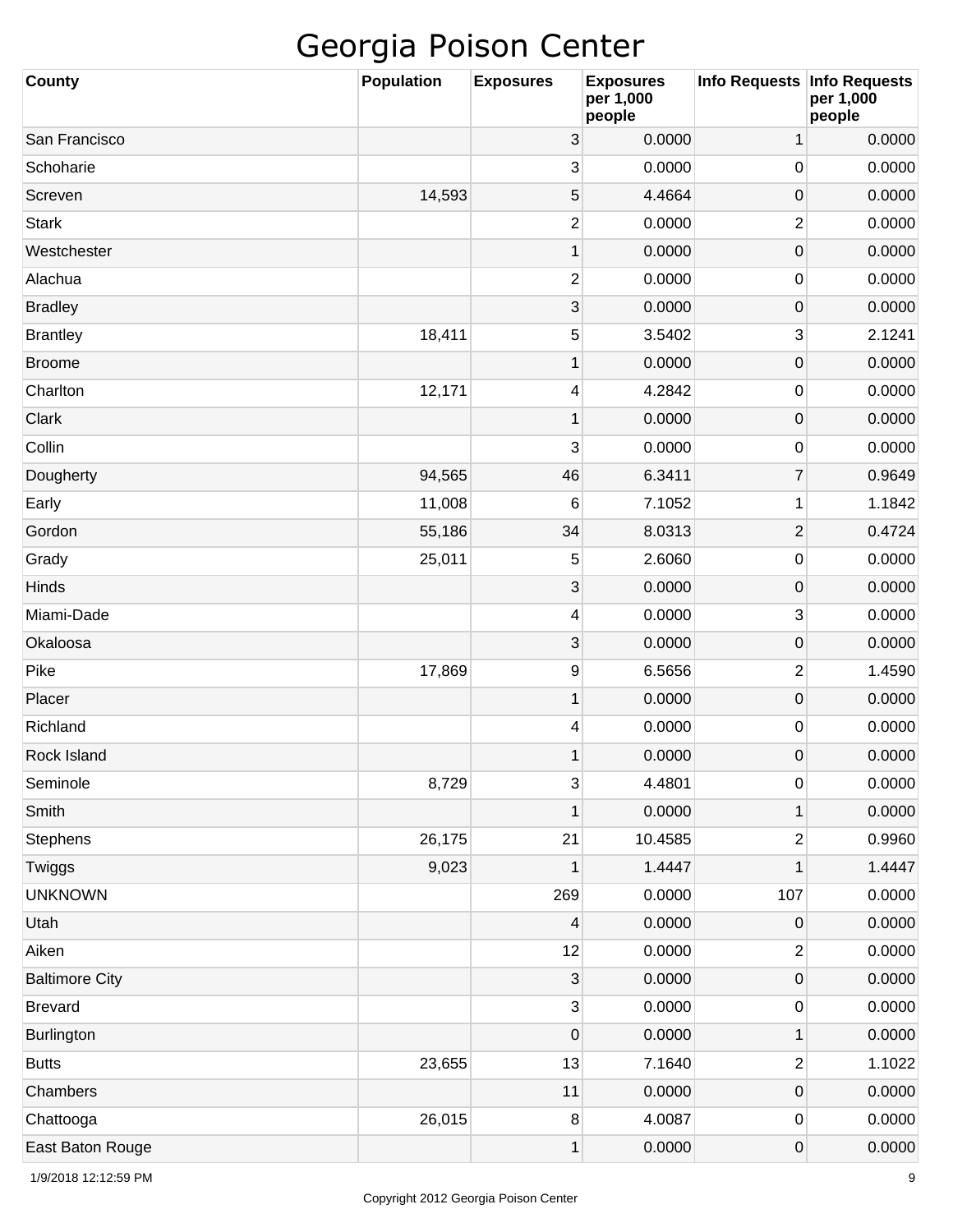| <b>County</b>         | <b>Population</b> | <b>Exposures</b> | <b>Exposures</b><br>per 1,000<br>people | Info Requests Info Requests | per 1,000<br>people |
|-----------------------|-------------------|------------------|-----------------------------------------|-----------------------------|---------------------|
| San Francisco         |                   | 3                | 0.0000                                  | 1                           | 0.0000              |
| Schoharie             |                   | 3                | 0.0000                                  | 0                           | 0.0000              |
| Screven               | 14,593            | 5                | 4.4664                                  | $\mathsf{O}\xspace$         | 0.0000              |
| <b>Stark</b>          |                   | 2                | 0.0000                                  | $\overline{c}$              | 0.0000              |
| Westchester           |                   | $\mathbf{1}$     | 0.0000                                  | $\mathsf{O}\xspace$         | 0.0000              |
| Alachua               |                   | 2                | 0.0000                                  | 0                           | 0.0000              |
| <b>Bradley</b>        |                   | $\sqrt{3}$       | 0.0000                                  | $\mathsf{O}\xspace$         | 0.0000              |
| <b>Brantley</b>       | 18,411            | 5                | 3.5402                                  | 3                           | 2.1241              |
| <b>Broome</b>         |                   | 1                | 0.0000                                  | $\mathsf{O}\xspace$         | 0.0000              |
| Charlton              | 12,171            | 4                | 4.2842                                  | 0                           | 0.0000              |
| Clark                 |                   | 1                | 0.0000                                  | $\mathsf{O}\xspace$         | 0.0000              |
| Collin                |                   | 3                | 0.0000                                  | 0                           | 0.0000              |
| Dougherty             | 94,565            | 46               | 6.3411                                  | $\overline{7}$              | 0.9649              |
| Early                 | 11,008            | 6                | 7.1052                                  | 1                           | 1.1842              |
| Gordon                | 55,186            | 34               | 8.0313                                  | $\overline{2}$              | 0.4724              |
| Grady                 | 25,011            | 5                | 2.6060                                  | 0                           | 0.0000              |
| Hinds                 |                   | $\mathbf{3}$     | 0.0000                                  | $\mathsf{O}\xspace$         | 0.0000              |
| Miami-Dade            |                   | 4                | 0.0000                                  | 3                           | 0.0000              |
| Okaloosa              |                   | $\sqrt{3}$       | 0.0000                                  | $\mathsf{O}\xspace$         | 0.0000              |
| Pike                  | 17,869            | 9                | 6.5656                                  | $\overline{c}$              | 1.4590              |
| Placer                |                   | 1                | 0.0000                                  | $\mathsf{O}\xspace$         | 0.0000              |
| Richland              |                   | 4                | 0.0000                                  | 0                           | 0.0000              |
| Rock Island           |                   | 1                | 0.0000                                  | $\mathsf 0$                 | 0.0000              |
| Seminole              | 8,729             | 3                | 4.4801                                  | $\pmb{0}$                   | 0.0000              |
| Smith                 |                   | 1                | 0.0000                                  | 1                           | 0.0000              |
| Stephens              | 26,175            | 21               | 10.4585                                 | $\overline{\mathbf{c}}$     | 0.9960              |
| Twiggs                | 9,023             | 1                | 1.4447                                  | 1                           | 1.4447              |
| <b>UNKNOWN</b>        |                   | 269              | 0.0000                                  | 107                         | 0.0000              |
| Utah                  |                   | 4                | 0.0000                                  | $\mathsf{O}\xspace$         | 0.0000              |
| Aiken                 |                   | 12               | 0.0000                                  | $\mathbf{2}$                | 0.0000              |
| <b>Baltimore City</b> |                   | 3                | 0.0000                                  | 0                           | 0.0000              |
| <b>Brevard</b>        |                   | 3                | 0.0000                                  | $\pmb{0}$                   | 0.0000              |
| <b>Burlington</b>     |                   | $\boldsymbol{0}$ | 0.0000                                  | 1                           | 0.0000              |
| <b>Butts</b>          | 23,655            | 13               | 7.1640                                  | $\overline{\mathbf{c}}$     | 1.1022              |
| Chambers              |                   | 11               | 0.0000                                  | $\mathsf{O}\xspace$         | 0.0000              |
| Chattooga             | 26,015            | $\bf 8$          | 4.0087                                  | 0                           | 0.0000              |
| East Baton Rouge      |                   | 1                | 0.0000                                  | 0                           | 0.0000              |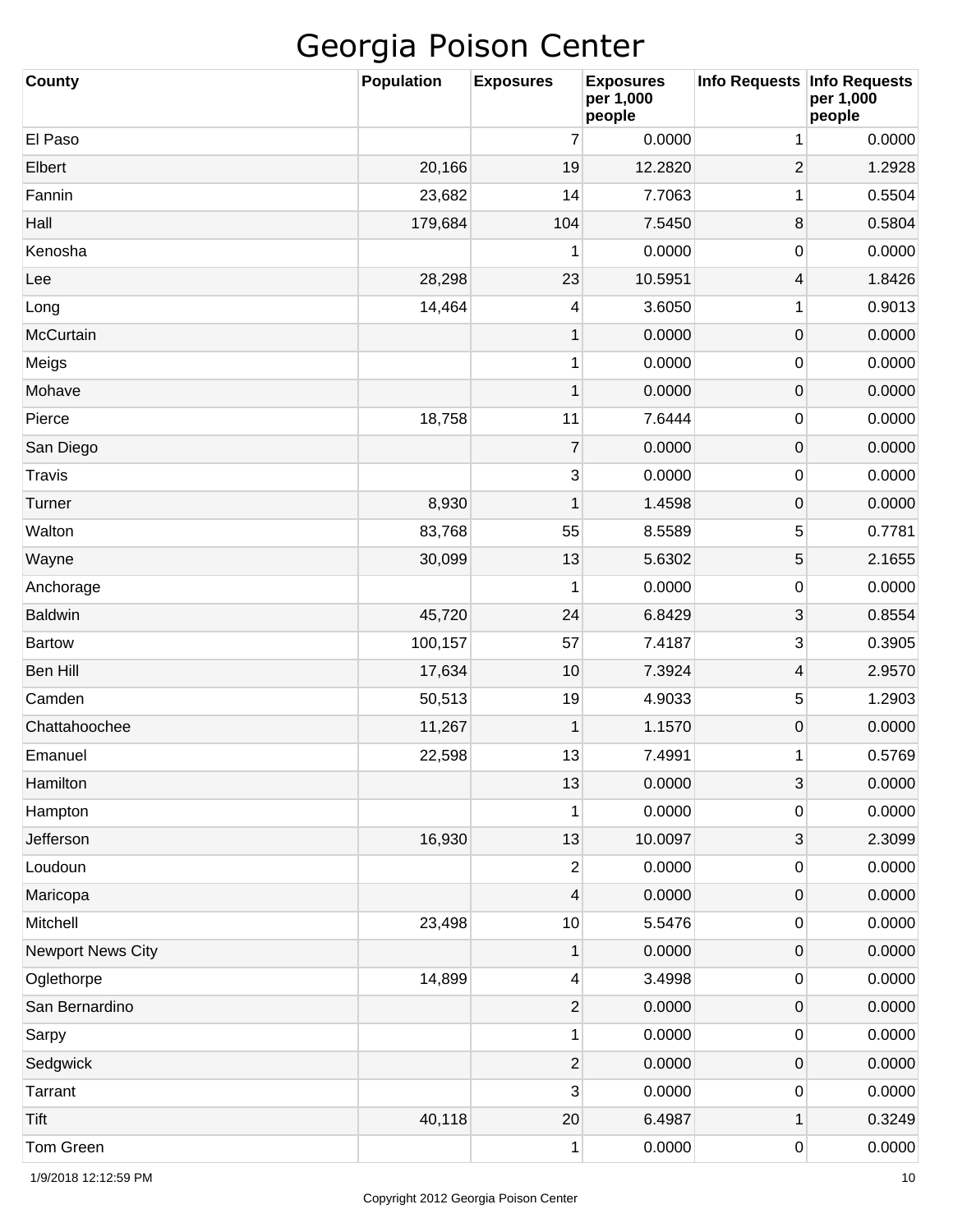| County                   | <b>Population</b> | <b>Exposures</b>         | <b>Exposures</b><br>per 1,000<br>people | <b>Info Requests</b> | <b>Info Requests</b><br>per 1,000<br>people |
|--------------------------|-------------------|--------------------------|-----------------------------------------|----------------------|---------------------------------------------|
| El Paso                  |                   | 7                        | 0.0000                                  | 1                    | 0.0000                                      |
| Elbert                   | 20,166            | 19                       | 12.2820                                 | $\overline{2}$       | 1.2928                                      |
| Fannin                   | 23,682            | 14                       | 7.7063                                  | 1                    | 0.5504                                      |
| Hall                     | 179,684           | 104                      | 7.5450                                  | 8                    | 0.5804                                      |
| Kenosha                  |                   | 1                        | 0.0000                                  | 0                    | 0.0000                                      |
| Lee                      | 28,298            | 23                       | 10.5951                                 | 4                    | 1.8426                                      |
| Long                     | 14,464            | 4                        | 3.6050                                  | 1                    | 0.9013                                      |
| McCurtain                |                   | 1                        | 0.0000                                  | 0                    | 0.0000                                      |
| Meigs                    |                   | 1                        | 0.0000                                  | 0                    | 0.0000                                      |
| Mohave                   |                   | 1                        | 0.0000                                  | 0                    | 0.0000                                      |
| Pierce                   | 18,758            | 11                       | 7.6444                                  | 0                    | 0.0000                                      |
| San Diego                |                   | $\overline{7}$           | 0.0000                                  | 0                    | 0.0000                                      |
| <b>Travis</b>            |                   | $\sqrt{3}$               | 0.0000                                  | 0                    | 0.0000                                      |
| Turner                   | 8,930             | 1                        | 1.4598                                  | 0                    | 0.0000                                      |
| Walton                   | 83,768            | 55                       | 8.5589                                  | 5                    | 0.7781                                      |
| Wayne                    | 30,099            | 13                       | 5.6302                                  | 5                    | 2.1655                                      |
| Anchorage                |                   | 1                        | 0.0000                                  | 0                    | 0.0000                                      |
| <b>Baldwin</b>           | 45,720            | 24                       | 6.8429                                  | 3                    | 0.8554                                      |
| <b>Bartow</b>            | 100,157           | 57                       | 7.4187                                  | 3                    | 0.3905                                      |
| Ben Hill                 | 17,634            | 10                       | 7.3924                                  | 4                    | 2.9570                                      |
| Camden                   | 50,513            | 19                       | 4.9033                                  | 5                    | 1.2903                                      |
| Chattahoochee            | 11,267            | 1                        | 1.1570                                  | 0                    | 0.0000                                      |
| Emanuel                  | 22,598            | 13                       | 7.4991                                  | 1                    | 0.5769                                      |
| Hamilton                 |                   | 13                       | 0.0000                                  | 3                    | 0.0000                                      |
| Hampton                  |                   | 1                        | 0.0000                                  | 0                    | 0.0000                                      |
| Jefferson                | 16,930            | 13                       | 10.0097                                 | 3                    | 2.3099                                      |
| Loudoun                  |                   | 2                        | 0.0000                                  | 0                    | 0.0000                                      |
| Maricopa                 |                   | $\overline{\mathcal{A}}$ | 0.0000                                  | $\mathsf{O}\xspace$  | 0.0000                                      |
| Mitchell                 | 23,498            | 10                       | 5.5476                                  | 0                    | 0.0000                                      |
| <b>Newport News City</b> |                   | 1                        | 0.0000                                  | $\mathsf{O}\xspace$  | 0.0000                                      |
| Oglethorpe               | 14,899            | 4                        | 3.4998                                  | 0                    | 0.0000                                      |
| San Bernardino           |                   | $\sqrt{2}$               | 0.0000                                  | $\mathsf{O}\xspace$  | 0.0000                                      |
| Sarpy                    |                   | 1                        | 0.0000                                  | 0                    | 0.0000                                      |
| Sedgwick                 |                   | $\sqrt{2}$               | 0.0000                                  | $\mathsf{O}\xspace$  | 0.0000                                      |
| Tarrant                  |                   | 3                        | 0.0000                                  | 0                    | 0.0000                                      |
| <b>Tift</b>              | 40,118            | 20                       | 6.4987                                  | 1                    | 0.3249                                      |
| Tom Green                |                   | 1                        | 0.0000                                  | 0                    | 0.0000                                      |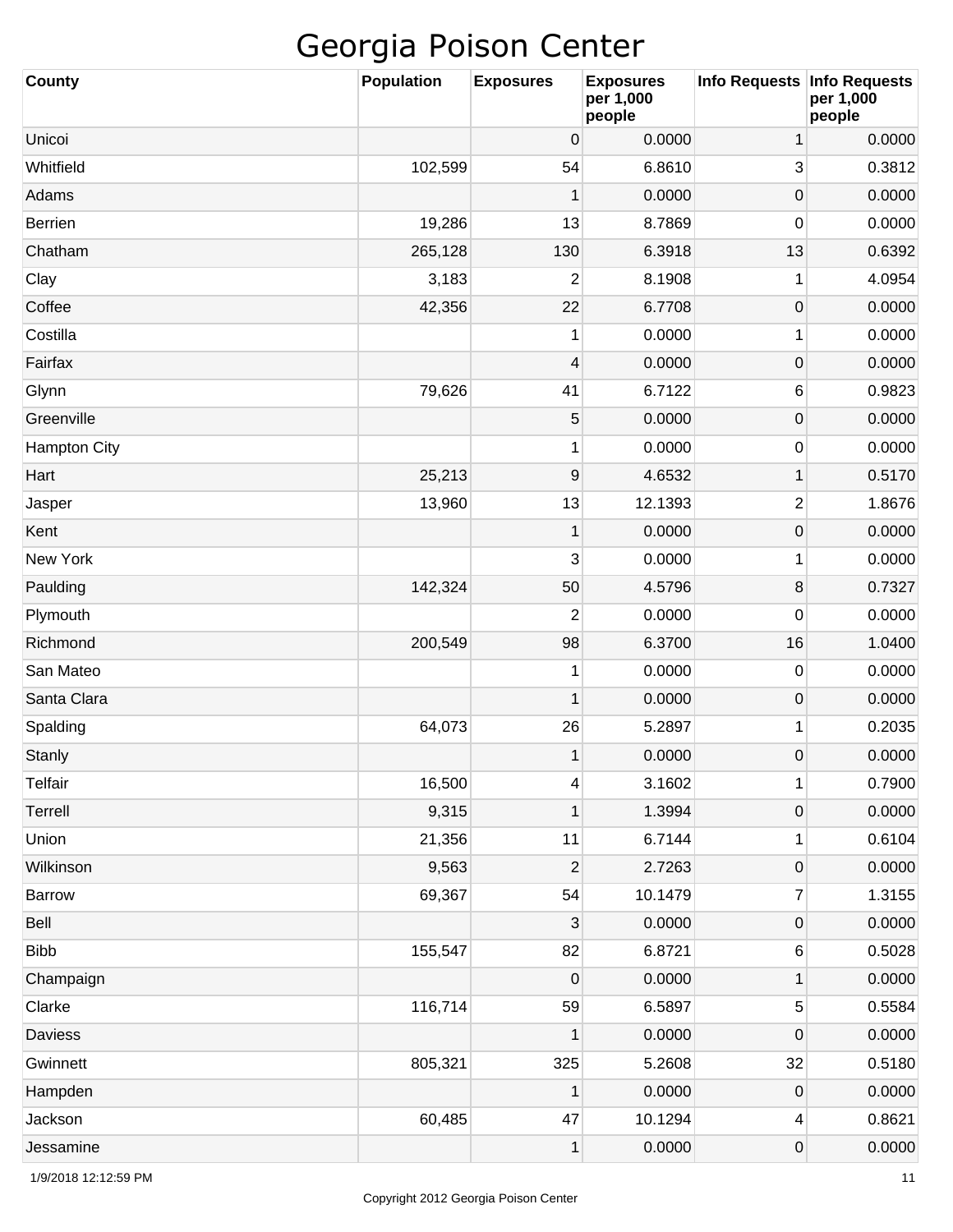| <b>County</b>       | <b>Population</b> | <b>Exposures</b>        | <b>Exposures</b><br>per 1,000<br>people | Info Requests       | <b>Info Requests</b><br>per 1,000<br>people |
|---------------------|-------------------|-------------------------|-----------------------------------------|---------------------|---------------------------------------------|
| Unicoi              |                   | 0                       | 0.0000                                  | 1                   | 0.0000                                      |
| Whitfield           | 102,599           | 54                      | 6.8610                                  | 3                   | 0.3812                                      |
| Adams               |                   | 1                       | 0.0000                                  | 0                   | 0.0000                                      |
| <b>Berrien</b>      | 19,286            | 13                      | 8.7869                                  | 0                   | 0.0000                                      |
| Chatham             | 265,128           | 130                     | 6.3918                                  | 13                  | 0.6392                                      |
| Clay                | 3,183             | 2                       | 8.1908                                  | 1                   | 4.0954                                      |
| Coffee              | 42,356            | 22                      | 6.7708                                  | $\boldsymbol{0}$    | 0.0000                                      |
| Costilla            |                   | 1                       | 0.0000                                  | 1                   | 0.0000                                      |
| Fairfax             |                   | $\overline{\mathbf{4}}$ | 0.0000                                  | $\boldsymbol{0}$    | 0.0000                                      |
| Glynn               | 79,626            | 41                      | 6.7122                                  | 6                   | 0.9823                                      |
| Greenville          |                   | 5                       | 0.0000                                  | $\mathsf{O}\xspace$ | 0.0000                                      |
| <b>Hampton City</b> |                   | 1                       | 0.0000                                  | 0                   | 0.0000                                      |
| Hart                | 25,213            | $\boldsymbol{9}$        | 4.6532                                  | 1                   | 0.5170                                      |
| Jasper              | 13,960            | 13                      | 12.1393                                 | $\overline{2}$      | 1.8676                                      |
| Kent                |                   | 1                       | 0.0000                                  | $\mathsf{O}\xspace$ | 0.0000                                      |
| New York            |                   | 3                       | 0.0000                                  | 1                   | 0.0000                                      |
| Paulding            | 142,324           | 50                      | 4.5796                                  | 8                   | 0.7327                                      |
| Plymouth            |                   | $\overline{2}$          | 0.0000                                  | 0                   | 0.0000                                      |
| Richmond            | 200,549           | 98                      | 6.3700                                  | 16                  | 1.0400                                      |
| San Mateo           |                   | 1                       | 0.0000                                  | 0                   | 0.0000                                      |
| Santa Clara         |                   | 1                       | 0.0000                                  | $\mathsf{O}\xspace$ | 0.0000                                      |
| Spalding            | 64,073            | 26                      | 5.2897                                  | 1                   | 0.2035                                      |
| <b>Stanly</b>       |                   | 1                       | 0.0000                                  | 0                   | 0.0000                                      |
| <b>Telfair</b>      | 16,500            | 4                       | 3.1602                                  | $\mathbf 1$         | 0.7900                                      |
| Terrell             | 9,315             | 1                       | 1.3994                                  | $\mathsf{O}\xspace$ | 0.0000                                      |
| Union               | 21,356            | 11                      | 6.7144                                  | 1                   | 0.6104                                      |
| Wilkinson           | 9,563             | $\overline{c}$          | 2.7263                                  | $\mathsf{O}\xspace$ | 0.0000                                      |
| Barrow              | 69,367            | 54                      | 10.1479                                 | 7                   | 1.3155                                      |
| Bell                |                   | 3                       | 0.0000                                  | $\mathsf{O}\xspace$ | 0.0000                                      |
| <b>Bibb</b>         | 155,547           | 82                      | 6.8721                                  | 6                   | 0.5028                                      |
| Champaign           |                   | $\pmb{0}$               | 0.0000                                  | 1                   | 0.0000                                      |
| Clarke              | 116,714           | 59                      | 6.5897                                  | 5                   | 0.5584                                      |
| Daviess             |                   | 1                       | 0.0000                                  | 0                   | 0.0000                                      |
| Gwinnett            | 805,321           | 325                     | 5.2608                                  | 32                  | 0.5180                                      |
| Hampden             |                   | 1                       | 0.0000                                  | $\mathsf{O}\xspace$ | 0.0000                                      |
| Jackson             | 60,485            | 47                      | 10.1294                                 | 4                   | 0.8621                                      |
| Jessamine           |                   | 1                       | 0.0000                                  | 0                   | 0.0000                                      |